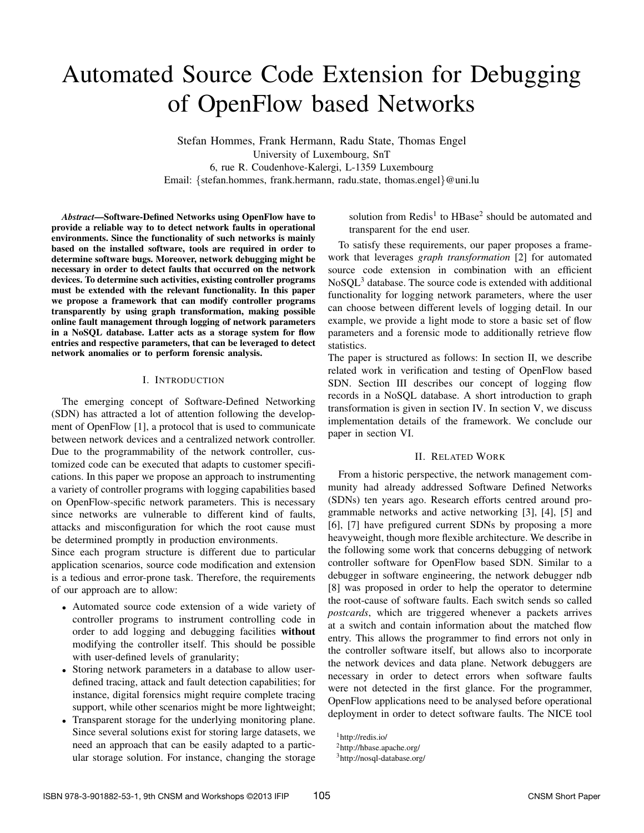# Automated Source Code Extension for Debugging of OpenFlow based Networks

Stefan Hommes, Frank Hermann, Radu State, Thomas Engel University of Luxembourg, SnT 6, rue R. Coudenhove-Kalergi, L-1359 Luxembourg Email: {stefan.hommes, frank.hermann, radu.state, thomas.engel}@uni.lu

*Abstract*—Software-Defined Networks using OpenFlow have to provide a reliable way to to detect network faults in operational environments. Since the functionality of such networks is mainly based on the installed software, tools are required in order to determine software bugs. Moreover, network debugging might be necessary in order to detect faults that occurred on the network devices. To determine such activities, existing controller programs must be extended with the relevant functionality. In this paper we propose a framework that can modify controller programs transparently by using graph transformation, making possible online fault management through logging of network parameters in a NoSQL database. Latter acts as a storage system for flow entries and respective parameters, that can be leveraged to detect network anomalies or to perform forensic analysis.

## I. INTRODUCTION

The emerging concept of Software-Defined Networking (SDN) has attracted a lot of attention following the development of OpenFlow [1], a protocol that is used to communicate between network devices and a centralized network controller. Due to the programmability of the network controller, customized code can be executed that adapts to customer specifications. In this paper we propose an approach to instrumenting a variety of controller programs with logging capabilities based on OpenFlow-specific network parameters. This is necessary since networks are vulnerable to different kind of faults, attacks and misconfiguration for which the root cause must be determined promptly in production environments.

Since each program structure is different due to particular application scenarios, source code modification and extension is a tedious and error-prone task. Therefore, the requirements of our approach are to allow:

- Automated source code extension of a wide variety of controller programs to instrument controlling code in order to add logging and debugging facilities without modifying the controller itself. This should be possible with user-defined levels of granularity;
- Storing network parameters in a database to allow userdefined tracing, attack and fault detection capabilities; for instance, digital forensics might require complete tracing support, while other scenarios might be more lightweight;
- Transparent storage for the underlying monitoring plane. Since several solutions exist for storing large datasets, we need an approach that can be easily adapted to a particular storage solution. For instance, changing the storage

solution from Redis<sup>1</sup> to HBase<sup>2</sup> should be automated and transparent for the end user.

To satisfy these requirements, our paper proposes a framework that leverages *graph transformation* [2] for automated source code extension in combination with an efficient NoSQL<sup>3</sup> database. The source code is extended with additional functionality for logging network parameters, where the user can choose between different levels of logging detail. In our example, we provide a light mode to store a basic set of flow parameters and a forensic mode to additionally retrieve flow statistics.

The paper is structured as follows: In section II, we describe related work in verification and testing of OpenFlow based SDN. Section III describes our concept of logging flow records in a NoSQL database. A short introduction to graph transformation is given in section IV. In section V, we discuss implementation details of the framework. We conclude our paper in section VI.

## II. RELATED WORK

From a historic perspective, the network management community had already addressed Software Defined Networks (SDNs) ten years ago. Research efforts centred around programmable networks and active networking [3], [4], [5] and [6], [7] have prefigured current SDNs by proposing a more heavyweight, though more flexible architecture. We describe in the following some work that concerns debugging of network controller software for OpenFlow based SDN. Similar to a debugger in software engineering, the network debugger ndb [8] was proposed in order to help the operator to determine the root-cause of software faults. Each switch sends so called *postcards*, which are triggered whenever a packets arrives at a switch and contain information about the matched flow entry. This allows the programmer to find errors not only in the controller software itself, but allows also to incorporate the network devices and data plane. Network debuggers are necessary in order to detect errors when software faults were not detected in the first glance. For the programmer, OpenFlow applications need to be analysed before operational deployment in order to detect software faults. The NICE tool

<sup>1</sup>http://redis.io/

<sup>2</sup>http://hbase.apache.org/

<sup>3</sup>http://nosql-database.org/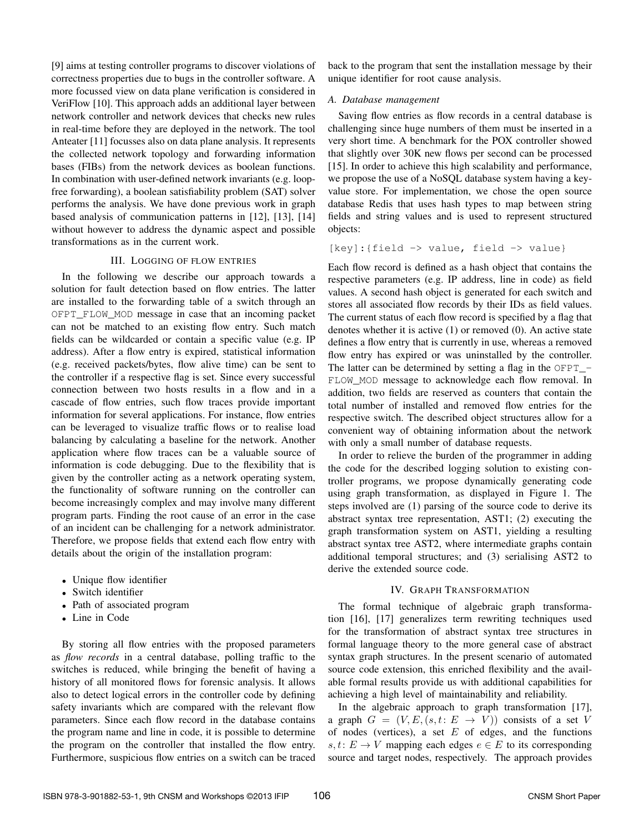[9] aims at testing controller programs to discover violations of correctness properties due to bugs in the controller software. A more focussed view on data plane verification is considered in VeriFlow [10]. This approach adds an additional layer between network controller and network devices that checks new rules in real-time before they are deployed in the network. The tool Anteater [11] focusses also on data plane analysis. It represents the collected network topology and forwarding information bases (FIBs) from the network devices as boolean functions. In combination with user-defined network invariants (e.g. loopfree forwarding), a boolean satisfiability problem (SAT) solver performs the analysis. We have done previous work in graph based analysis of communication patterns in [12], [13], [14] without however to address the dynamic aspect and possible transformations as in the current work.

## III. LOGGING OF FLOW ENTRIES

In the following we describe our approach towards a solution for fault detection based on flow entries. The latter are installed to the forwarding table of a switch through an OFPT\_FLOW\_MOD message in case that an incoming packet can not be matched to an existing flow entry. Such match fields can be wildcarded or contain a specific value (e.g. IP address). After a flow entry is expired, statistical information (e.g. received packets/bytes, flow alive time) can be sent to the controller if a respective flag is set. Since every successful connection between two hosts results in a flow and in a cascade of flow entries, such flow traces provide important information for several applications. For instance, flow entries can be leveraged to visualize traffic flows or to realise load balancing by calculating a baseline for the network. Another application where flow traces can be a valuable source of information is code debugging. Due to the flexibility that is given by the controller acting as a network operating system, the functionality of software running on the controller can become increasingly complex and may involve many different program parts. Finding the root cause of an error in the case of an incident can be challenging for a network administrator. Therefore, we propose fields that extend each flow entry with details about the origin of the installation program:

- Unique flow identifier
- Switch identifier
- Path of associated program
- Line in Code

By storing all flow entries with the proposed parameters as *flow records* in a central database, polling traffic to the switches is reduced, while bringing the benefit of having a history of all monitored flows for forensic analysis. It allows also to detect logical errors in the controller code by defining safety invariants which are compared with the relevant flow parameters. Since each flow record in the database contains the program name and line in code, it is possible to determine the program on the controller that installed the flow entry. Furthermore, suspicious flow entries on a switch can be traced back to the program that sent the installation message by their unique identifier for root cause analysis.

## *A. Database management*

Saving flow entries as flow records in a central database is challenging since huge numbers of them must be inserted in a very short time. A benchmark for the POX controller showed that slightly over 30K new flows per second can be processed [15]. In order to achieve this high scalability and performance, we propose the use of a NoSQL database system having a keyvalue store. For implementation, we chose the open source database Redis that uses hash types to map between string fields and string values and is used to represent structured objects:

```
[key]:{field -> value, field -> value}
```
Each flow record is defined as a hash object that contains the respective parameters (e.g. IP address, line in code) as field values. A second hash object is generated for each switch and stores all associated flow records by their IDs as field values. The current status of each flow record is specified by a flag that denotes whether it is active (1) or removed (0). An active state defines a flow entry that is currently in use, whereas a removed flow entry has expired or was uninstalled by the controller. The latter can be determined by setting a flag in the OFPT\_-FLOW MOD message to acknowledge each flow removal. In addition, two fields are reserved as counters that contain the total number of installed and removed flow entries for the respective switch. The described object structures allow for a convenient way of obtaining information about the network with only a small number of database requests.

In order to relieve the burden of the programmer in adding the code for the described logging solution to existing controller programs, we propose dynamically generating code using graph transformation, as displayed in Figure 1. The steps involved are (1) parsing of the source code to derive its abstract syntax tree representation, AST1; (2) executing the graph transformation system on AST1, yielding a resulting abstract syntax tree AST2, where intermediate graphs contain additional temporal structures; and (3) serialising AST2 to derive the extended source code.

# IV. GRAPH TRANSFORMATION

The formal technique of algebraic graph transformation [16], [17] generalizes term rewriting techniques used for the transformation of abstract syntax tree structures in formal language theory to the more general case of abstract syntax graph structures. In the present scenario of automated source code extension, this enriched flexibility and the available formal results provide us with additional capabilities for achieving a high level of maintainability and reliability.

In the algebraic approach to graph transformation [17], a graph  $G = (V, E, (s, t: E \rightarrow V))$  consists of a set V of nodes (vertices), a set  $E$  of edges, and the functions s,  $t: E \to V$  mapping each edges  $e \in E$  to its corresponding source and target nodes, respectively. The approach provides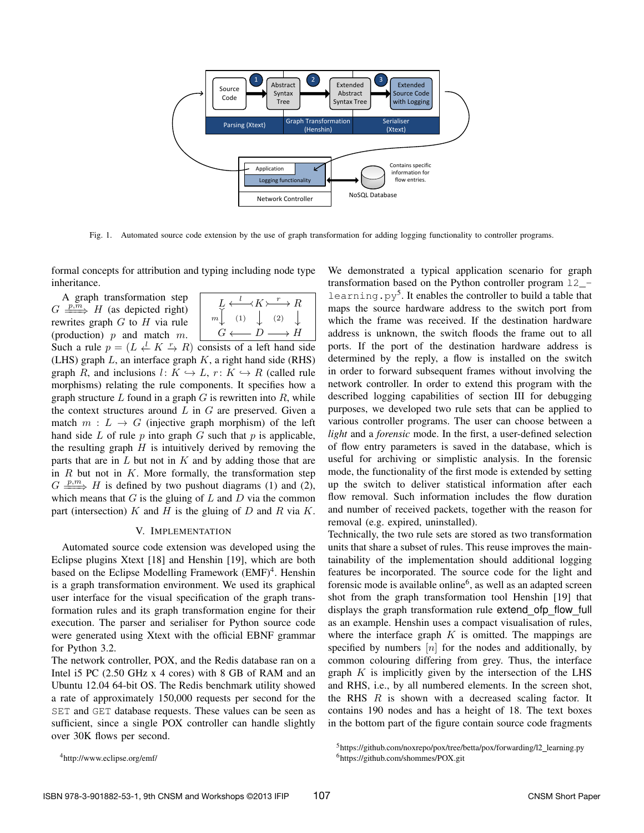

Fig. 1. Automated source code extension by the use of graph transformation for adding logging functionality to controller programs.

formal concepts for attribution and typing including node type inheritance.

 $\frac{L}{\gamma}$  $m \downarrow (1) \downarrow (2) \downarrow$  $\langle K \rangle \longrightarrow R$ l  $\overline{\mathbf{a}}$  $G \longleftarrow D -$ A graph transformation step  $G \xrightarrow{p,m} H$  (as depicted right) rewrites graph  $G$  to  $H$  via rule (production)  $p$  and match  $m$ . Such a rule  $p = (L \stackrel{l}{\leftarrow} K \stackrel{r}{\rightarrow} R)$  consists of a left hand side (LHS) graph  $L$ , an interface graph  $K$ , a right hand side (RHS) graph R, and inclusions  $l: K \hookrightarrow L$ ,  $r: K \hookrightarrow R$  (called rule morphisms) relating the rule components. It specifies how a graph structure  $L$  found in a graph  $G$  is rewritten into  $R$ , while the context structures around  $L$  in  $G$  are preserved. Given a match  $m: L \rightarrow G$  (injective graph morphism) of the left hand side L of rule p into graph G such that p is applicable, the resulting graph  $H$  is intuitively derived by removing the parts that are in  $L$  but not in  $K$  and by adding those that are in  $R$  but not in  $K$ . More formally, the transformation step  $G \xrightarrow{p,m} H$  is defined by two pushout diagrams (1) and (2), which means that  $G$  is the gluing of  $L$  and  $D$  via the common part (intersection) K and H is the gluing of D and R via K.

## V. IMPLEMENTATION

Automated source code extension was developed using the Eclipse plugins Xtext [18] and Henshin [19], which are both based on the Eclipse Modelling Framework (EMF)<sup>4</sup>. Henshin is a graph transformation environment. We used its graphical user interface for the visual specification of the graph transformation rules and its graph transformation engine for their execution. The parser and serialiser for Python source code were generated using Xtext with the official EBNF grammar for Python 3.2.

The network controller, POX, and the Redis database ran on a Intel i5 PC (2.50 GHz x 4 cores) with 8 GB of RAM and an Ubuntu 12.04 64-bit OS. The Redis benchmark utility showed a rate of approximately 150,000 requests per second for the SET and GET database requests. These values can be seen as sufficient, since a single POX controller can handle slightly over 30K flows per second.

<sup>4</sup>http://www.eclipse.org/emf/

We demonstrated a typical application scenario for graph transformation based on the Python controller program  $12$  learning.py<sup>5</sup>. It enables the controller to build a table that maps the source hardware address to the switch port from which the frame was received. If the destination hardware address is unknown, the switch floods the frame out to all ports. If the port of the destination hardware address is determined by the reply, a flow is installed on the switch in order to forward subsequent frames without involving the network controller. In order to extend this program with the described logging capabilities of section III for debugging purposes, we developed two rule sets that can be applied to various controller programs. The user can choose between a *light* and a *forensic* mode. In the first, a user-defined selection of flow entry parameters is saved in the database, which is useful for archiving or simplistic analysis. In the forensic mode, the functionality of the first mode is extended by setting up the switch to deliver statistical information after each flow removal. Such information includes the flow duration and number of received packets, together with the reason for removal (e.g. expired, uninstalled).

Technically, the two rule sets are stored as two transformation units that share a subset of rules. This reuse improves the maintainability of the implementation should additional logging features be incorporated. The source code for the light and forensic mode is available online<sup>6</sup>, as well as an adapted screen shot from the graph transformation tool Henshin [19] that displays the graph transformation rule extend ofp flow full as an example. Henshin uses a compact visualisation of rules, where the interface graph  $K$  is omitted. The mappings are specified by numbers  $[n]$  for the nodes and additionally, by common colouring differing from grey. Thus, the interface graph  $K$  is implicitly given by the intersection of the LHS and RHS, i.e., by all numbered elements. In the screen shot, the RHS  $R$  is shown with a decreased scaling factor. It contains 190 nodes and has a height of 18. The text boxes in the bottom part of the figure contain source code fragments

<sup>5</sup>https://github.com/noxrepo/pox/tree/betta/pox/forwarding/l2 learning.py <sup>6</sup>https://github.com/shommes/POX.git